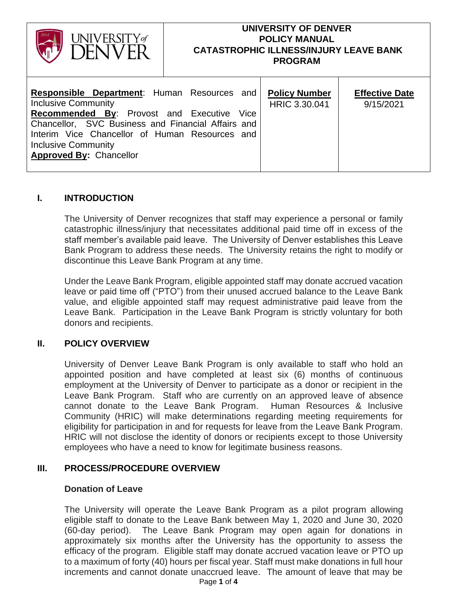| I <b>INIVERSITY</b> of                                                                                                                                                                                                                                                                            | <b>UNIVERSITY OF DENVER</b><br><b>POLICY MANUAL</b><br><b>CATASTROPHIC ILLNESS/INJURY LEAVE BANK</b><br><b>PROGRAM</b> |                                       |                                    |
|---------------------------------------------------------------------------------------------------------------------------------------------------------------------------------------------------------------------------------------------------------------------------------------------------|------------------------------------------------------------------------------------------------------------------------|---------------------------------------|------------------------------------|
| <b>Responsible Department: Human Resources and</b><br><b>Inclusive Community</b><br><b>Recommended By: Provost and Executive</b><br>Chancellor, SVC Business and Financial Affairs and<br>Interim Vice Chancellor of Human Resources and<br>Inclusive Community<br><b>Approved By: Chancellor</b> | Vice                                                                                                                   | <b>Policy Number</b><br>HRIC 3.30.041 | <b>Effective Date</b><br>9/15/2021 |

## **I. INTRODUCTION**

The University of Denver recognizes that staff may experience a personal or family catastrophic illness/injury that necessitates additional paid time off in excess of the staff member's available paid leave. The University of Denver establishes this Leave Bank Program to address these needs. The University retains the right to modify or discontinue this Leave Bank Program at any time.

Under the Leave Bank Program, eligible appointed staff may donate accrued vacation leave or paid time off ("PTO") from their unused accrued balance to the Leave Bank value, and eligible appointed staff may request administrative paid leave from the Leave Bank. Participation in the Leave Bank Program is strictly voluntary for both donors and recipients.

### **II. POLICY OVERVIEW**

University of Denver Leave Bank Program is only available to staff who hold an appointed position and have completed at least six (6) months of continuous employment at the University of Denver to participate as a donor or recipient in the Leave Bank Program. Staff who are currently on an approved leave of absence cannot donate to the Leave Bank Program. Human Resources & Inclusive Community (HRIC) will make determinations regarding meeting requirements for eligibility for participation in and for requests for leave from the Leave Bank Program. HRIC will not disclose the identity of donors or recipients except to those University employees who have a need to know for legitimate business reasons.

## **III. PROCESS/PROCEDURE OVERVIEW**

#### **Donation of Leave**

The University will operate the Leave Bank Program as a pilot program allowing eligible staff to donate to the Leave Bank between May 1, 2020 and June 30, 2020 (60-day period). The Leave Bank Program may open again for donations in approximately six months after the University has the opportunity to assess the efficacy of the program. Eligible staff may donate accrued vacation leave or PTO up to a maximum of forty (40) hours per fiscal year. Staff must make donations in full hour increments and cannot donate unaccrued leave. The amount of leave that may be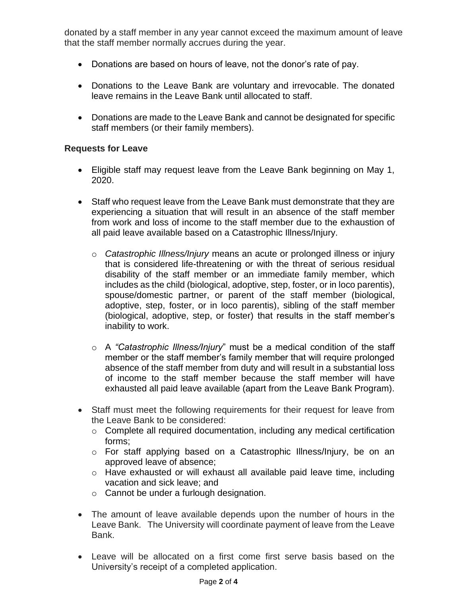donated by a staff member in any year cannot exceed the maximum amount of leave that the staff member normally accrues during the year.

- Donations are based on hours of leave, not the donor's rate of pay.
- Donations to the Leave Bank are voluntary and irrevocable. The donated leave remains in the Leave Bank until allocated to staff.
- Donations are made to the Leave Bank and cannot be designated for specific staff members (or their family members).

### **Requests for Leave**

- Eligible staff may request leave from the Leave Bank beginning on May 1, 2020.
- Staff who request leave from the Leave Bank must demonstrate that they are experiencing a situation that will result in an absence of the staff member from work and loss of income to the staff member due to the exhaustion of all paid leave available based on a Catastrophic Illness/Injury.
	- o *Catastrophic Illness/Injury* means an acute or prolonged illness or injury that is considered life-threatening or with the threat of serious residual disability of the staff member or an immediate family member, which includes as the child (biological, adoptive, step, foster, or in loco parentis), spouse/domestic partner, or parent of the staff member (biological, adoptive, step, foster, or in loco parentis), sibling of the staff member (biological, adoptive, step, or foster) that results in the staff member's inability to work.
	- o A *"Catastrophic Illness/Injury*" must be a medical condition of the staff member or the staff member's family member that will require prolonged absence of the staff member from duty and will result in a substantial loss of income to the staff member because the staff member will have exhausted all paid leave available (apart from the Leave Bank Program).
- Staff must meet the following requirements for their request for leave from the Leave Bank to be considered:
	- o Complete all required documentation, including any medical certification forms;
	- o For staff applying based on a Catastrophic Illness/Injury, be on an approved leave of absence;
	- o Have exhausted or will exhaust all available paid leave time, including vacation and sick leave; and
	- o Cannot be under a furlough designation.
- The amount of leave available depends upon the number of hours in the Leave Bank. The University will coordinate payment of leave from the Leave Bank.
- Leave will be allocated on a first come first serve basis based on the University's receipt of a completed application.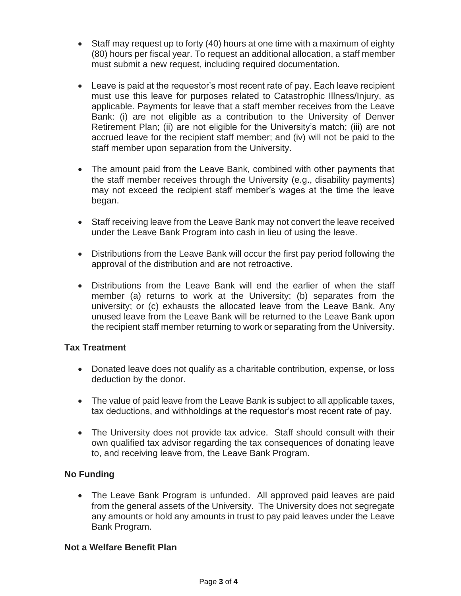- Staff may request up to forty (40) hours at one time with a maximum of eighty (80) hours per fiscal year. To request an additional allocation, a staff member must submit a new request, including required documentation.
- Leave is paid at the requestor's most recent rate of pay. Each leave recipient must use this leave for purposes related to Catastrophic Illness/Injury, as applicable. Payments for leave that a staff member receives from the Leave Bank: (i) are not eligible as a contribution to the University of Denver Retirement Plan; (ii) are not eligible for the University's match; (iii) are not accrued leave for the recipient staff member; and (iv) will not be paid to the staff member upon separation from the University.
- The amount paid from the Leave Bank, combined with other payments that the staff member receives through the University (e.g., disability payments) may not exceed the recipient staff member's wages at the time the leave began.
- Staff receiving leave from the Leave Bank may not convert the leave received under the Leave Bank Program into cash in lieu of using the leave.
- Distributions from the Leave Bank will occur the first pay period following the approval of the distribution and are not retroactive.
- Distributions from the Leave Bank will end the earlier of when the staff member (a) returns to work at the University; (b) separates from the university; or (c) exhausts the allocated leave from the Leave Bank. Any unused leave from the Leave Bank will be returned to the Leave Bank upon the recipient staff member returning to work or separating from the University.

# **Tax Treatment**

- Donated leave does not qualify as a charitable contribution, expense, or loss deduction by the donor.
- The value of paid leave from the Leave Bank is subject to all applicable taxes, tax deductions, and withholdings at the requestor's most recent rate of pay.
- The University does not provide tax advice. Staff should consult with their own qualified tax advisor regarding the tax consequences of donating leave to, and receiving leave from, the Leave Bank Program.

# **No Funding**

• The Leave Bank Program is unfunded. All approved paid leaves are paid from the general assets of the University. The University does not segregate any amounts or hold any amounts in trust to pay paid leaves under the Leave Bank Program.

### **Not a Welfare Benefit Plan**